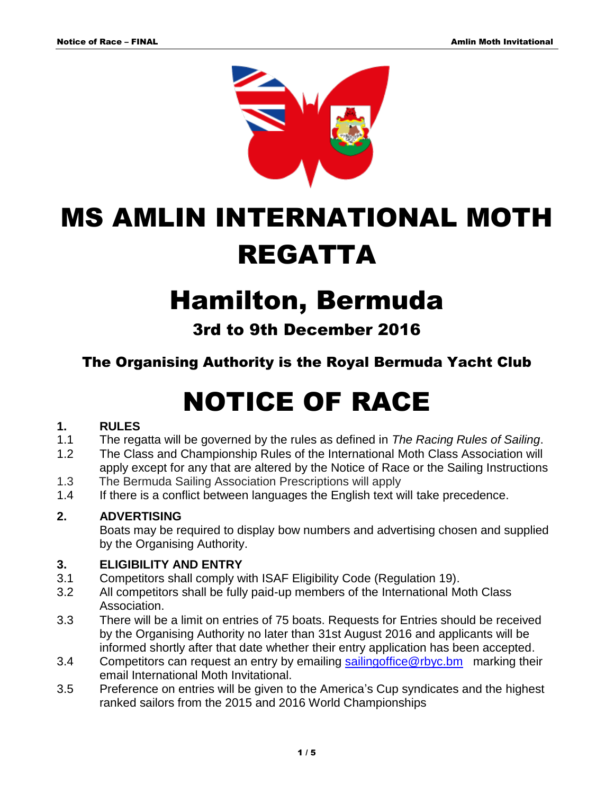

# MS AMLIN INTERNATIONAL MOTH REGATTA

# Hamilton, Bermuda

3rd to 9th December 2016

The Organising Authority is the Royal Bermuda Yacht Club

# NOTICE OF RACE

## **1. RULES**

- 1.1 The regatta will be governed by the rules as defined in *The Racing Rules of Sailing*.
- 1.2 The Class and Championship Rules of the International Moth Class Association will apply except for any that are altered by the Notice of Race or the Sailing Instructions
- 1.3 The Bermuda Sailing Association Prescriptions will apply
- 1.4 If there is a conflict between languages the English text will take precedence.

## **2. ADVERTISING**

Boats may be required to display bow numbers and advertising chosen and supplied by the Organising Authority.

## **3. ELIGIBILITY AND ENTRY**

- 3.1 Competitors shall comply with ISAF Eligibility Code (Regulation 19).
- 3.2 All competitors shall be fully paid-up members of the International Moth Class Association.
- 3.3 There will be a limit on entries of 75 boats. Requests for Entries should be received by the Organising Authority no later than 31st August 2016 and applicants will be informed shortly after that date whether their entry application has been accepted.
- 3.4 Competitors can request an entry by emailing [sailingoffice@rbyc.bm](mailto:sailingoffice@rbyc.bm) marking their email International Moth Invitational.
- 3.5 Preference on entries will be given to the America's Cup syndicates and the highest ranked sailors from the 2015 and 2016 World Championships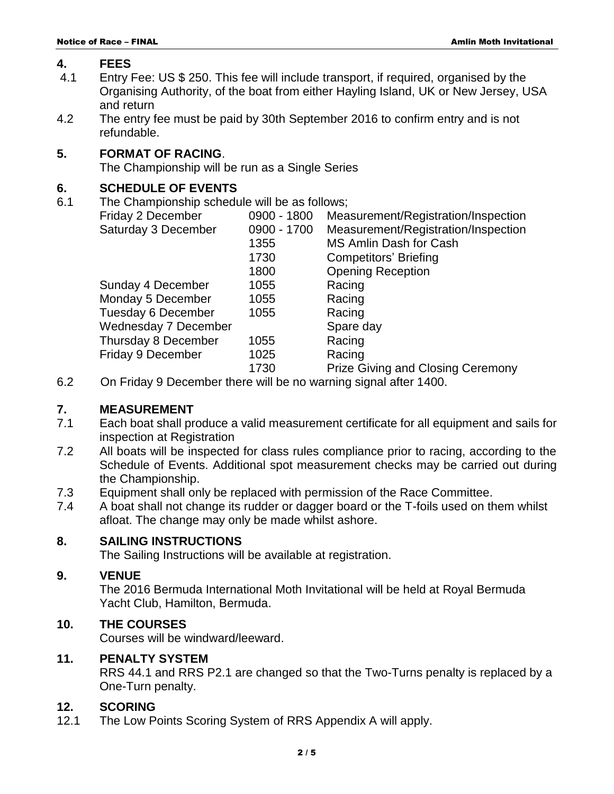#### **4. FEES**

- 4.1 Entry Fee: US \$ 250. This fee will include transport, if required, organised by the Organising Authority, of the boat from either Hayling Island, UK or New Jersey, USA and return
- 4.2 The entry fee must be paid by 30th September 2016 to confirm entry and is not refundable.

#### **5. FORMAT OF RACING**.

The Championship will be run as a Single Series

#### **6. SCHEDULE OF EVENTS**

6.1 The Championship schedule will be as follows;

| Friday 2 December                                                                                      | 0900 - 1800 | Measurement/Registration/Inspection      |
|--------------------------------------------------------------------------------------------------------|-------------|------------------------------------------|
| Saturday 3 December                                                                                    | 0900 - 1700 | Measurement/Registration/Inspection      |
|                                                                                                        | 1355        | MS Amlin Dash for Cash                   |
|                                                                                                        | 1730        | <b>Competitors' Briefing</b>             |
|                                                                                                        | 1800        | <b>Opening Reception</b>                 |
| Sunday 4 December                                                                                      | 1055        | Racing                                   |
| Monday 5 December                                                                                      | 1055        | Racing                                   |
| Tuesday 6 December                                                                                     | 1055        | Racing                                   |
| <b>Wednesday 7 December</b>                                                                            |             | Spare day                                |
| Thursday 8 December                                                                                    | 1055        | Racing                                   |
| Friday 9 December                                                                                      | 1025        | Racing                                   |
|                                                                                                        | 1730        | <b>Prize Giving and Closing Ceremony</b> |
| $\Omega_{\rm m}$ Eside: $\Omega$ Because he subtrace will be used constraint at a fixed defined $4.00$ |             |                                          |

6.2 On Friday 9 December there will be no warning signal after 1400.

#### **7. MEASUREMENT**

- 7.1 Each boat shall produce a valid measurement certificate for all equipment and sails for inspection at Registration
- 7.2 All boats will be inspected for class rules compliance prior to racing, according to the Schedule of Events. Additional spot measurement checks may be carried out during the Championship.
- 7.3 Equipment shall only be replaced with permission of the Race Committee.
- 7.4 A boat shall not change its rudder or dagger board or the T-foils used on them whilst afloat. The change may only be made whilst ashore.

#### **8. SAILING INSTRUCTIONS**

The Sailing Instructions will be available at registration.

#### **9. VENUE**

The 2016 Bermuda International Moth Invitational will be held at Royal Bermuda Yacht Club, Hamilton, Bermuda.

#### **10. THE COURSES**

Courses will be windward/leeward.

#### **11. PENALTY SYSTEM**

RRS 44.1 and RRS P2.1 are changed so that the Two-Turns penalty is replaced by a One-Turn penalty.

#### **12. SCORING**

12.1 The Low Points Scoring System of RRS Appendix A will apply.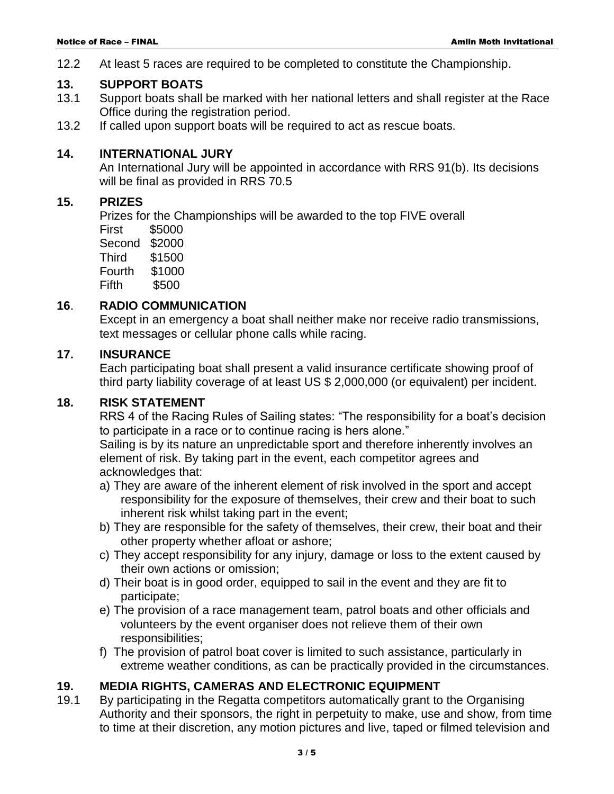12.2 At least 5 races are required to be completed to constitute the Championship.

#### **13. SUPPORT BOATS**

- 13.1 Support boats shall be marked with her national letters and shall register at the Race Office during the registration period.
- 13.2 If called upon support boats will be required to act as rescue boats.

#### **14. INTERNATIONAL JURY**

An International Jury will be appointed in accordance with RRS 91(b). Its decisions will be final as provided in RRS 70.5

#### **15. PRIZES**

Prizes for the Championships will be awarded to the top FIVE overall

First \$5000 Second \$2000 Third \$1500 Fourth \$1000 Fifth \$500

#### **16**. **RADIO COMMUNICATION**

Except in an emergency a boat shall neither make nor receive radio transmissions, text messages or cellular phone calls while racing.

#### **17. INSURANCE**

Each participating boat shall present a valid insurance certificate showing proof of third party liability coverage of at least US \$ 2,000,000 (or equivalent) per incident.

#### **18. RISK STATEMENT**

RRS 4 of the Racing Rules of Sailing states: "The responsibility for a boat's decision to participate in a race or to continue racing is hers alone."

Sailing is by its nature an unpredictable sport and therefore inherently involves an element of risk. By taking part in the event, each competitor agrees and acknowledges that:

- a) They are aware of the inherent element of risk involved in the sport and accept responsibility for the exposure of themselves, their crew and their boat to such inherent risk whilst taking part in the event;
- b) They are responsible for the safety of themselves, their crew, their boat and their other property whether afloat or ashore;
- c) They accept responsibility for any injury, damage or loss to the extent caused by their own actions or omission;
- d) Their boat is in good order, equipped to sail in the event and they are fit to participate;
- e) The provision of a race management team, patrol boats and other officials and volunteers by the event organiser does not relieve them of their own responsibilities;
- f) The provision of patrol boat cover is limited to such assistance, particularly in extreme weather conditions, as can be practically provided in the circumstances.

#### **19. MEDIA RIGHTS, CAMERAS AND ELECTRONIC EQUIPMENT**

19.1 By participating in the Regatta competitors automatically grant to the Organising Authority and their sponsors, the right in perpetuity to make, use and show, from time to time at their discretion, any motion pictures and live, taped or filmed television and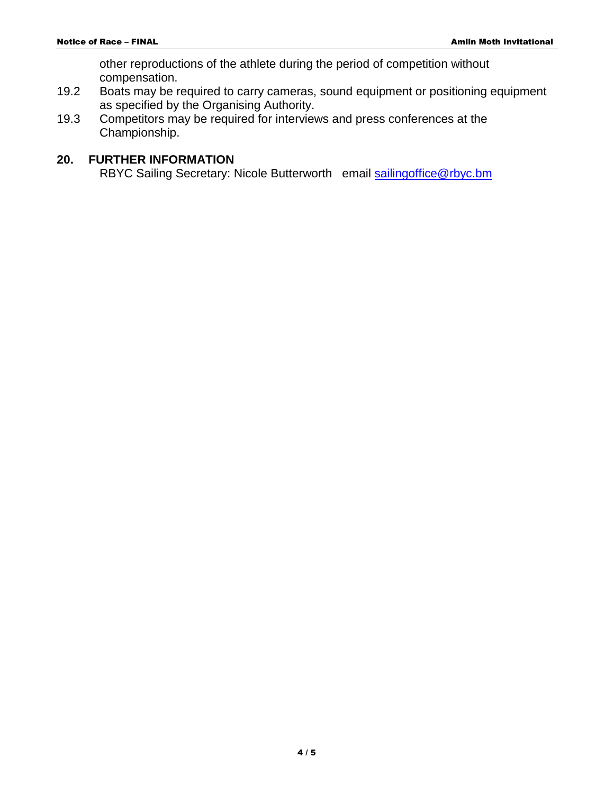other reproductions of the athlete during the period of competition without compensation.

- 19.2 Boats may be required to carry cameras, sound equipment or positioning equipment as specified by the Organising Authority.
- 19.3 Competitors may be required for interviews and press conferences at the Championship.

#### **20. FURTHER INFORMATION**

RBYC Sailing Secretary: Nicole Butterworth email [sailingoffice@rbyc.bm](mailto:sailingoffice@rbyc.bm)